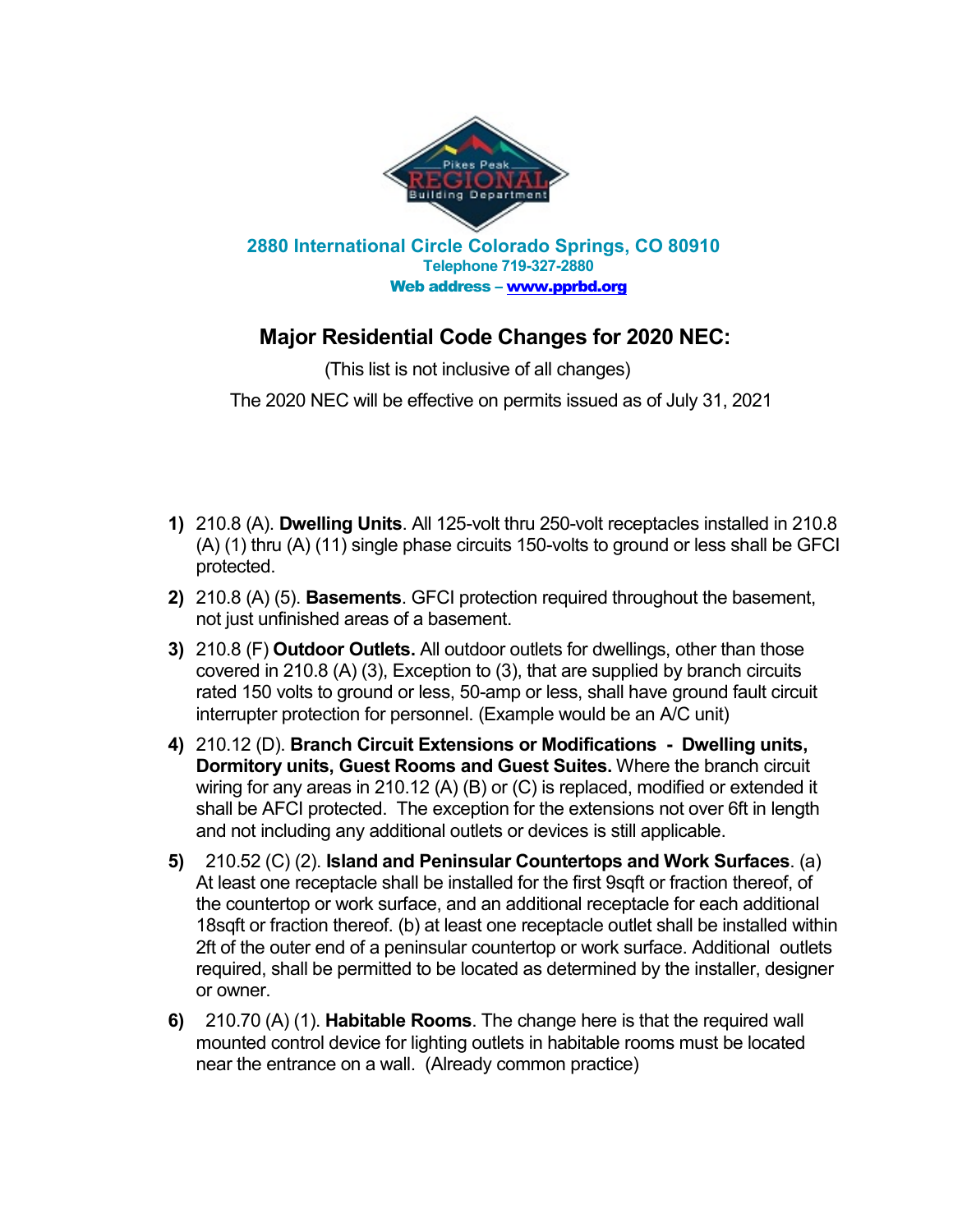

## **Major Residential Code Changes for 2020 NEC:**

(This list is not inclusive of all changes)

The 2020 NEC will be effective on permits issued as of July 31, 2021

- **1)** 210.8 (A). **Dwelling Units**. All 125-volt thru 250-volt receptacles installed in 210.8 (A) (1) thru (A) (11) single phase circuits 150-volts to ground or less shall be GFCI protected.
- **2)** 210.8 (A) (5). **Basements**. GFCI protection required throughout the basement, not just unfinished areas of a basement.
- **3)** 210.8 (F) **Outdoor Outlets.** All outdoor outlets for dwellings, other than those covered in 210.8 (A) (3), Exception to (3), that are supplied by branch circuits rated 150 volts to ground or less, 50-amp or less, shall have ground fault circuit interrupter protection for personnel. (Example would be an A/C unit)
- **4)** 210.12 (D). **Branch Circuit Extensions or Modifications Dwelling units, Dormitory units, Guest Rooms and Guest Suites.** Where the branch circuit wiring for any areas in 210.12 (A) (B) or (C) is replaced, modified or extended it shall be AFCI protected. The exception for the extensions not over 6ft in length and not including any additional outlets or devices is still applicable.
- **5)** 210.52 (C) (2). **Island and Peninsular Countertops and Work Surfaces**. (a) At least one receptacle shall be installed for the first 9sqft or fraction thereof, of the countertop or work surface, and an additional receptacle for each additional 18sqft or fraction thereof. (b) at least one receptacle outlet shall be installed within 2ft of the outer end of a peninsular countertop or work surface. Additional outlets required, shall be permitted to be located as determined by the installer, designer or owner.
- **6)** 210.70 (A) (1). **Habitable Rooms**. The change here is that the required wall mounted control device for lighting outlets in habitable rooms must be located near the entrance on a wall. (Already common practice)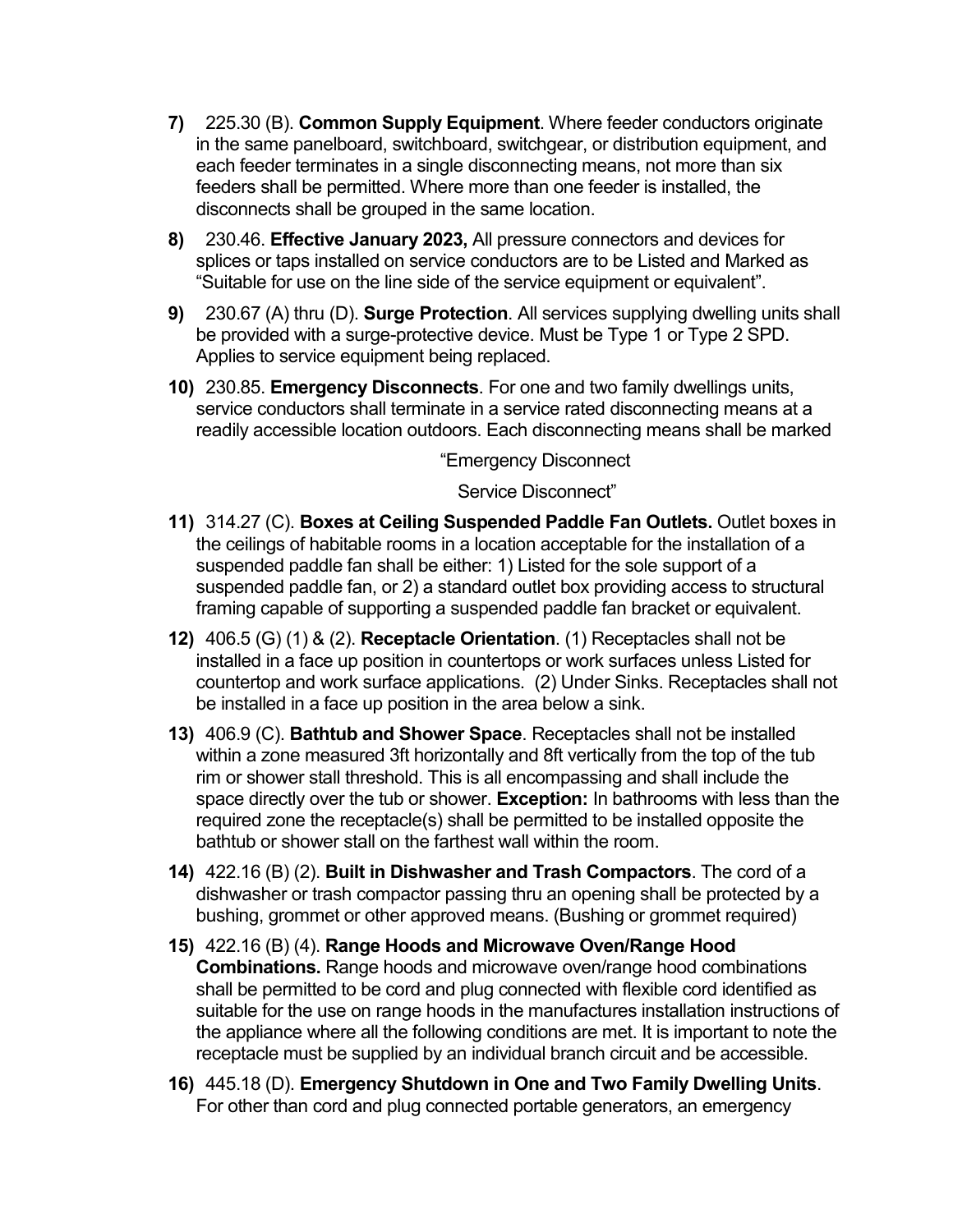- **7)** 225.30 (B). **Common Supply Equipment**. Where feeder conductors originate in the same panelboard, switchboard, switchgear, or distribution equipment, and each feeder terminates in a single disconnecting means, not more than six feeders shall be permitted. Where more than one feeder is installed, the disconnects shall be grouped in the same location.
- **8)** 230.46. **Effective January 2023,** All pressure connectors and devices for splices or taps installed on service conductors are to be Listed and Marked as "Suitable for use on the line side of the service equipment or equivalent".
- **9)** 230.67 (A) thru (D). **Surge Protection**. All services supplying dwelling units shall be provided with a surge-protective device. Must be Type 1 or Type 2 SPD. Applies to service equipment being replaced.
- **10)** 230.85. **Emergency Disconnects**. For one and two family dwellings units, service conductors shall terminate in a service rated disconnecting means at a readily accessible location outdoors. Each disconnecting means shall be marked

"Emergency Disconnect

Service Disconnect"

- **11)** 314.27 (C). **Boxes at Ceiling Suspended Paddle Fan Outlets.** Outlet boxes in the ceilings of habitable rooms in a location acceptable for the installation of a suspended paddle fan shall be either: 1) Listed for the sole support of a suspended paddle fan, or 2) a standard outlet box providing access to structural framing capable of supporting a suspended paddle fan bracket or equivalent.
- **12)** 406.5 (G) (1) & (2). **Receptacle Orientation**. (1) Receptacles shall not be installed in a face up position in countertops or work surfaces unless Listed for countertop and work surface applications. (2) Under Sinks. Receptacles shall not be installed in a face up position in the area below a sink.
- **13)** 406.9 (C). **Bathtub and Shower Space**. Receptacles shall not be installed within a zone measured 3ft horizontally and 8ft vertically from the top of the tub rim or shower stall threshold. This is all encompassing and shall include the space directly over the tub or shower. **Exception:** In bathrooms with less than the required zone the receptacle(s) shall be permitted to be installed opposite the bathtub or shower stall on the farthest wall within the room.
- **14)** 422.16 (B) (2). **Built in Dishwasher and Trash Compactors**. The cord of a dishwasher or trash compactor passing thru an opening shall be protected by a bushing, grommet or other approved means. (Bushing or grommet required)
- **15)** 422.16 (B) (4). **Range Hoods and Microwave Oven/Range Hood Combinations.** Range hoods and microwave oven/range hood combinations shall be permitted to be cord and plug connected with flexible cord identified as suitable for the use on range hoods in the manufactures installation instructions of the appliance where all the following conditions are met. It is important to note the receptacle must be supplied by an individual branch circuit and be accessible.
- **16)** 445.18 (D). **Emergency Shutdown in One and Two Family Dwelling Units**. For other than cord and plug connected portable generators, an emergency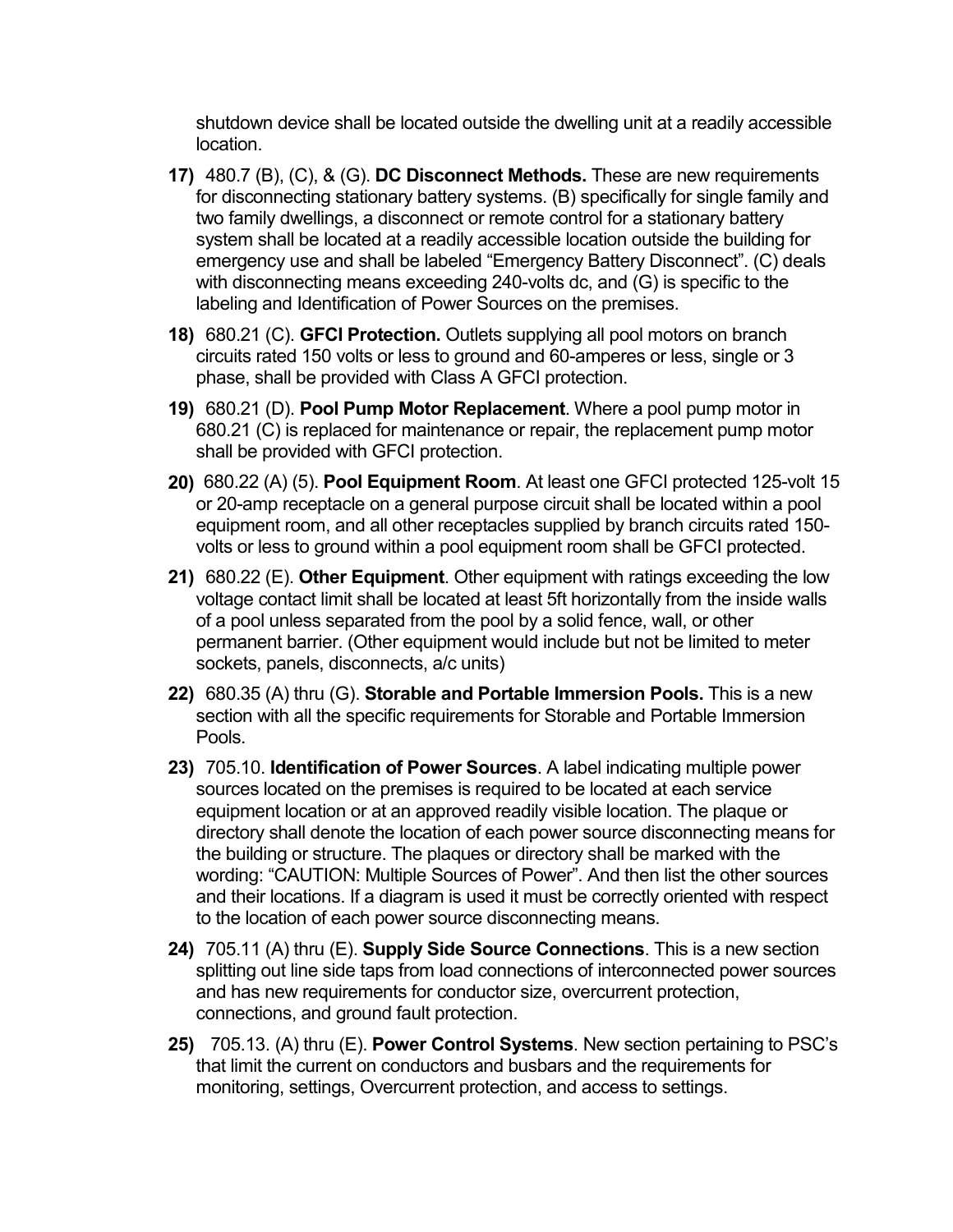shutdown device shall be located outside the dwelling unit at a readily accessible location.

- **17)** 480.7 (B), (C), & (G). **DC Disconnect Methods.** These are new requirements for disconnecting stationary battery systems. (B) specifically for single family and two family dwellings, a disconnect or remote control for a stationary battery system shall be located at a readily accessible location outside the building for emergency use and shall be labeled "Emergency Battery Disconnect". (C) deals with disconnecting means exceeding 240-volts dc, and (G) is specific to the labeling and Identification of Power Sources on the premises.
- **18)** 680.21 (C). **GFCI Protection.** Outlets supplying all pool motors on branch circuits rated 150 volts or less to ground and 60-amperes or less, single or 3 phase, shall be provided with Class A GFCI protection.
- **19)** 680.21 (D). **Pool Pump Motor Replacement**. Where a pool pump motor in 680.21 (C) is replaced for maintenance or repair, the replacement pump motor shall be provided with GFCI protection.
- **20)** 680.22 (A) (5). **Pool Equipment Room**. At least one GFCI protected 125-volt 15 or 20-amp receptacle on a general purpose circuit shall be located within a pool equipment room, and all other receptacles supplied by branch circuits rated 150 volts or less to ground within a pool equipment room shall be GFCI protected.
- **21)** 680.22 (E). **Other Equipment**. Other equipment with ratings exceeding the low voltage contact limit shall be located at least 5ft horizontally from the inside walls of a pool unless separated from the pool by a solid fence, wall, or other permanent barrier. (Other equipment would include but not be limited to meter sockets, panels, disconnects, a/c units)
- **22)** 680.35 (A) thru (G). **Storable and Portable Immersion Pools.** This is a new section with all the specific requirements for Storable and Portable Immersion Pools.
- **23)** 705.10. **Identification of Power Sources**. A label indicating multiple power sources located on the premises is required to be located at each service equipment location or at an approved readily visible location. The plaque or directory shall denote the location of each power source disconnecting means for the building or structure. The plaques or directory shall be marked with the wording: "CAUTION: Multiple Sources of Power". And then list the other sources and their locations. If a diagram is used it must be correctly oriented with respect to the location of each power source disconnecting means.
- **24)** 705.11 (A) thru (E). **Supply Side Source Connections**. This is a new section splitting out line side taps from load connections of interconnected power sources and has new requirements for conductor size, overcurrent protection, connections, and ground fault protection.
- **25)** 705.13. (A) thru (E). **Power Control Systems**. New section pertaining to PSC's that limit the current on conductors and busbars and the requirements for monitoring, settings, Overcurrent protection, and access to settings.